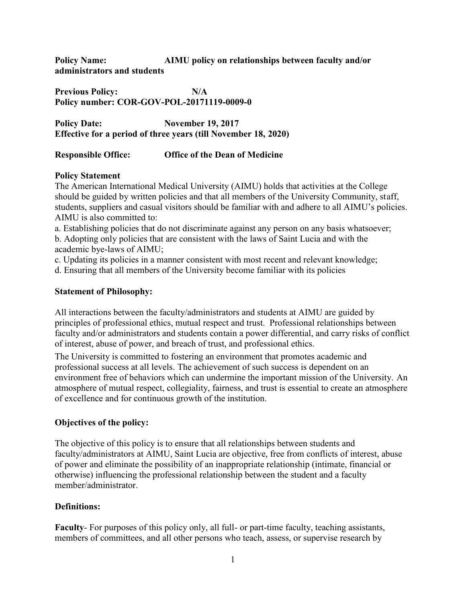**Policy Name: AIMU policy on relationships between faculty and/or administrators and students**

**Previous Policy: N/A Policy number: COR-GOV-POL-20171119-0009-0**

**Policy Date: November 19, 2017 Effective for a period of three years (till November 18, 2020)**

### **Responsible Office: Office of the Dean of Medicine**

### **Policy Statement**

The American International Medical University (AIMU) holds that activities at the College should be guided by written policies and that all members of the University Community, staff, students, suppliers and casual visitors should be familiar with and adhere to all AIMU's policies. AIMU is also committed to:

a. Establishing policies that do not discriminate against any person on any basis whatsoever; b. Adopting only policies that are consistent with the laws of Saint Lucia and with the academic bye-laws of AIMU;

c. Updating its policies in a manner consistent with most recent and relevant knowledge;

d. Ensuring that all members of the University become familiar with its policies

# **Statement of Philosophy:**

All interactions between the faculty/administrators and students at AIMU are guided by principles of professional ethics, mutual respect and trust. Professional relationships between faculty and/or administrators and students contain a power differential, and carry risks of conflict of interest, abuse of power, and breach of trust, and professional ethics.

The University is committed to fostering an environment that promotes academic and professional success at all levels. The achievement of such success is dependent on an environment free of behaviors which can undermine the important mission of the University. An atmosphere of mutual respect, collegiality, fairness, and trust is essential to create an atmosphere of excellence and for continuous growth of the institution.

# **Objectives of the policy:**

The objective of this policy is to ensure that all relationships between students and faculty/administrators at AIMU, Saint Lucia are objective, free from conflicts of interest, abuse of power and eliminate the possibility of an inappropriate relationship (intimate, financial or otherwise) influencing the professional relationship between the student and a faculty member/administrator.

# **Definitions:**

**Faculty**- For purposes of this policy only, all full- or part-time faculty, teaching assistants, members of committees, and all other persons who teach, assess, or supervise research by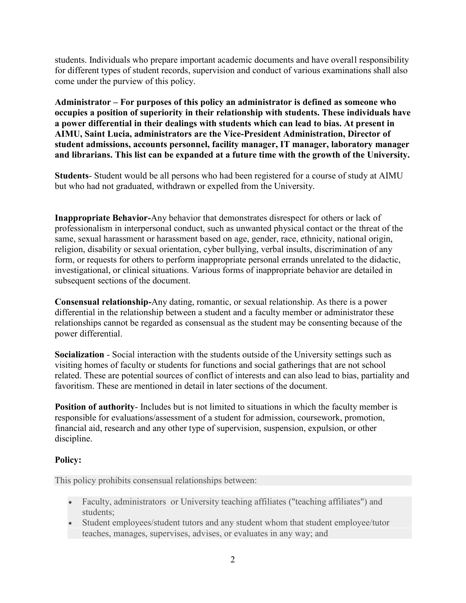students. Individuals who prepare important academic documents and have overall responsibility for different types of student records, supervision and conduct of various examinations shall also come under the purview of this policy.

**Administrator – For purposes of this policy an administrator is defined as someone who occupies a position of superiority in their relationship with students. These individuals have a power differential in their dealings with students which can lead to bias. At present in AIMU, Saint Lucia, administrators are the Vice-President Administration, Director of student admissions, accounts personnel, facility manager, IT manager, laboratory manager and librarians. This list can be expanded at a future time with the growth of the University.**

**Students**- Student would be all persons who had been registered for a course of study at AIMU but who had not graduated, withdrawn or expelled from the University.

**Inappropriate Behavior-**Any behavior that demonstrates disrespect for others or lack of professionalism in interpersonal conduct, such as unwanted physical contact or the threat of the same, sexual harassment or harassment based on age, gender, race, ethnicity, national origin, religion, disability or sexual orientation, cyber bullying, verbal insults, discrimination of any form, or requests for others to perform inappropriate personal errands unrelated to the didactic, investigational, or clinical situations. Various forms of inappropriate behavior are detailed in subsequent sections of the document.

**Consensual relationship-**Any dating, romantic, or sexual relationship. As there is a power differential in the relationship between a student and a faculty member or administrator these relationships cannot be regarded as consensual as the student may be consenting because of the power differential.

**Socialization** - Social interaction with the students outside of the University settings such as visiting homes of faculty or students for functions and social gatherings that are not school related. These are potential sources of conflict of interests and can also lead to bias, partiality and favoritism. These are mentioned in detail in later sections of the document.

**Position of authority**- Includes but is not limited to situations in which the faculty member is responsible for evaluations/assessment of a student for admission, coursework, promotion, financial aid, research and any other type of supervision, suspension, expulsion, or other discipline.

### **Policy:**

This policy prohibits consensual relationships between:

- Faculty, administrators or University teaching affiliates ("teaching affiliates") and students;
- Student employees/student tutors and any student whom that student employee/tutor teaches, manages, supervises, advises, or evaluates in any way; and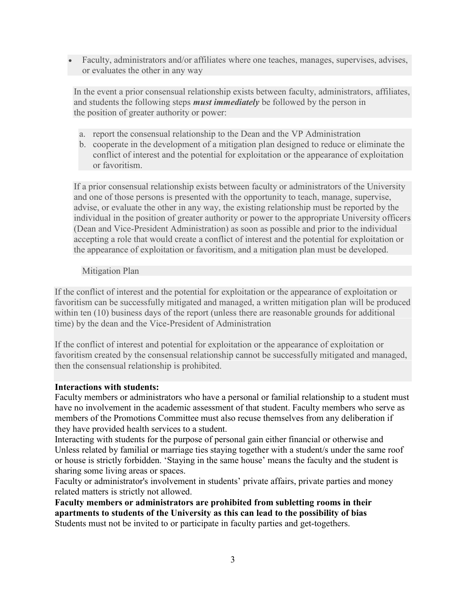Faculty, administrators and/or affiliates where one teaches, manages, supervises, advises, or evaluates the other in any way

In the event a prior consensual relationship exists between faculty, administrators, affiliates, and students the following steps *must immediately* be followed by the person in the position of greater authority or power:

- a. report the consensual relationship to the Dean and the VP Administration
- b. cooperate in the development of a mitigation plan designed to reduce or eliminate the conflict of interest and the potential for exploitation or the appearance of exploitation or favoritism.

If a prior consensual relationship exists between faculty or administrators of the University and one of those persons is presented with the opportunity to teach, manage, supervise, advise, or evaluate the other in any way, the existing relationship must be reported by the individual in the position of greater authority or power to the appropriate University officers (Dean and Vice-President Administration) as soon as possible and prior to the individual accepting a role that would create a conflict of interest and the potential for exploitation or the appearance of exploitation or favoritism, and a mitigation plan must be developed.

### Mitigation Plan

If the conflict of interest and the potential for exploitation or the appearance of exploitation or favoritism can be successfully mitigated and managed, a written mitigation plan will be produced within ten (10) business days of the report (unless there are reasonable grounds for additional time) by the dean and the Vice-President of Administration

If the conflict of interest and potential for exploitation or the appearance of exploitation or favoritism created by the consensual relationship cannot be successfully mitigated and managed, then the consensual relationship is prohibited.

#### **Interactions with students:**

Faculty members or administrators who have a personal or familial relationship to a student must have no involvement in the academic assessment of that student. Faculty members who serve as members of the Promotions Committee must also recuse themselves from any deliberation if they have provided health services to a student.

Interacting with students for the purpose of personal gain either financial or otherwise and Unless related by familial or marriage ties staying together with a student/s under the same roof or house is strictly forbidden. 'Staying in the same house' means the faculty and the student is sharing some living areas or spaces.

Faculty or administrator's involvement in students' private affairs, private parties and money related matters is strictly not allowed.

**Faculty members or administrators are prohibited from subletting rooms in their apartments to students of the University as this can lead to the possibility of bias** Students must not be invited to or participate in faculty parties and get-togethers.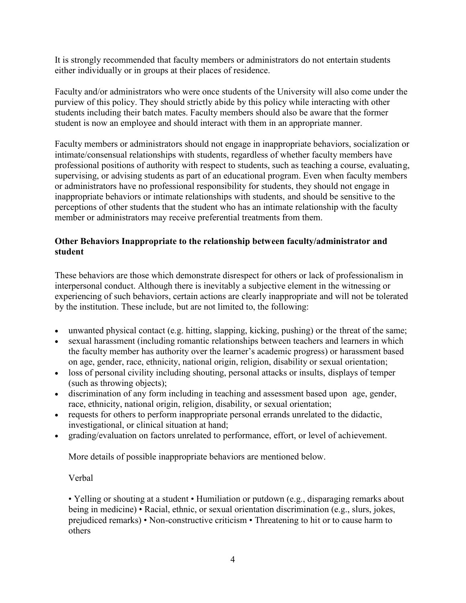It is strongly recommended that faculty members or administrators do not entertain students either individually or in groups at their places of residence.

Faculty and/or administrators who were once students of the University will also come under the purview of this policy. They should strictly abide by this policy while interacting with other students including their batch mates. Faculty members should also be aware that the former student is now an employee and should interact with them in an appropriate manner.

Faculty members or administrators should not engage in inappropriate behaviors, socialization or intimate/consensual relationships with students, regardless of whether faculty members have professional positions of authority with respect to students, such as teaching a course, evaluating, supervising, or advising students as part of an educational program. Even when faculty members or administrators have no professional responsibility for students, they should not engage in inappropriate behaviors or intimate relationships with students, and should be sensitive to the perceptions of other students that the student who has an intimate relationship with the faculty member or administrators may receive preferential treatments from them.

### **Other Behaviors Inappropriate to the relationship between faculty/administrator and student**

These behaviors are those which demonstrate disrespect for others or lack of professionalism in interpersonal conduct. Although there is inevitably a subjective element in the witnessing or experiencing of such behaviors, certain actions are clearly inappropriate and will not be tolerated by the institution. These include, but are not limited to, the following:

- unwanted physical contact (e.g. hitting, slapping, kicking, pushing) or the threat of the same;
- sexual harassment (including romantic relationships between teachers and learners in which the faculty member has authority over the learner's academic progress) or harassment based on age, gender, race, ethnicity, national origin, religion, disability or sexual orientation;
- loss of personal civility including shouting, personal attacks or insults, displays of temper (such as throwing objects);
- discrimination of any form including in teaching and assessment based upon age, gender, race, ethnicity, national origin, religion, disability, or sexual orientation;
- requests for others to perform inappropriate personal errands unrelated to the didactic, investigational, or clinical situation at hand;
- grading/evaluation on factors unrelated to performance, effort, or level of achievement.

More details of possible inappropriate behaviors are mentioned below.

Verbal

• Yelling or shouting at a student • Humiliation or putdown (e.g., disparaging remarks about being in medicine) • Racial, ethnic, or sexual orientation discrimination (e.g., slurs, jokes, prejudiced remarks) • Non-constructive criticism • Threatening to hit or to cause harm to others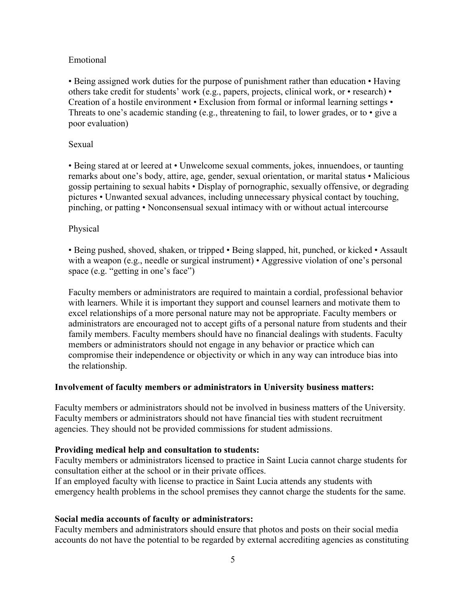#### Emotional

• Being assigned work duties for the purpose of punishment rather than education • Having others take credit for students' work (e.g., papers, projects, clinical work, or • research) • Creation of a hostile environment • Exclusion from formal or informal learning settings • Threats to one's academic standing (e.g., threatening to fail, to lower grades, or to • give a poor evaluation)

#### Sexual

• Being stared at or leered at • Unwelcome sexual comments, jokes, innuendoes, or taunting remarks about one's body, attire, age, gender, sexual orientation, or marital status • Malicious gossip pertaining to sexual habits • Display of pornographic, sexually offensive, or degrading pictures • Unwanted sexual advances, including unnecessary physical contact by touching, pinching, or patting • Nonconsensual sexual intimacy with or without actual intercourse

#### Physical

• Being pushed, shoved, shaken, or tripped • Being slapped, hit, punched, or kicked • Assault with a weapon (e.g., needle or surgical instrument) • Aggressive violation of one's personal space (e.g. "getting in one's face")

Faculty members or administrators are required to maintain a cordial, professional behavior with learners. While it is important they support and counsel learners and motivate them to excel relationships of a more personal nature may not be appropriate. Faculty members or administrators are encouraged not to accept gifts of a personal nature from students and their family members. Faculty members should have no financial dealings with students. Faculty members or administrators should not engage in any behavior or practice which can compromise their independence or objectivity or which in any way can introduce bias into the relationship.

#### **Involvement of faculty members or administrators in University business matters:**

Faculty members or administrators should not be involved in business matters of the University. Faculty members or administrators should not have financial ties with student recruitment agencies. They should not be provided commissions for student admissions.

#### **Providing medical help and consultation to students:**

Faculty members or administrators licensed to practice in Saint Lucia cannot charge students for consultation either at the school or in their private offices.

If an employed faculty with license to practice in Saint Lucia attends any students with emergency health problems in the school premises they cannot charge the students for the same.

#### **Social media accounts of faculty or administrators:**

Faculty members and administrators should ensure that photos and posts on their social media accounts do not have the potential to be regarded by external accrediting agencies as constituting